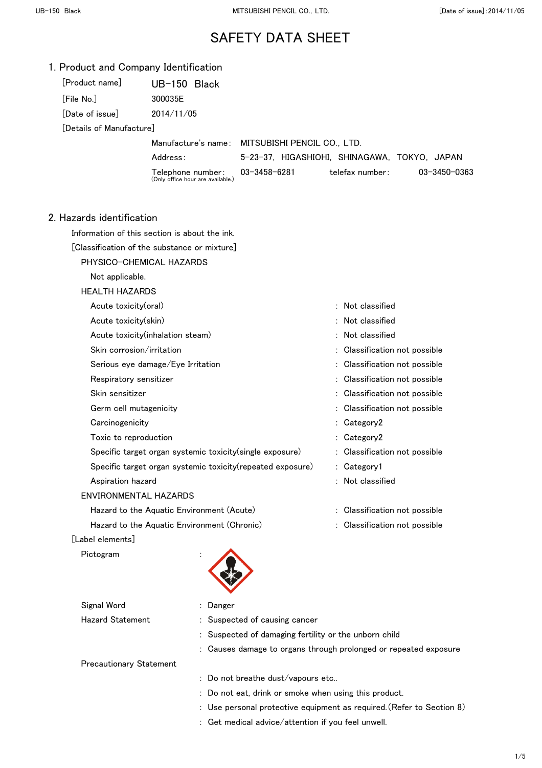| 1. Product and Company Identification |  |  |
|---------------------------------------|--|--|
|---------------------------------------|--|--|

| [Product name]            | $UB-150$ Black                                               |                                                 |                 |              |
|---------------------------|--------------------------------------------------------------|-------------------------------------------------|-----------------|--------------|
| <b>File No.1</b>          | 300035E                                                      |                                                 |                 |              |
| [Date of issue]           | 2014/11/05                                                   |                                                 |                 |              |
| [Details of Manufacture]  |                                                              |                                                 |                 |              |
|                           |                                                              | Manufacture's name: MITSUBISHI PENCIL CO., LTD. |                 |              |
|                           | Address:                                                     | 5-23-37, HIGASHIOHI, SHINAGAWA, TOKYO, JAPAN    |                 |              |
|                           | Telephone number:<br>(Only office hour are available.)       | 03-3458-6281                                    | telefax number: | 03-3450-0363 |
| 2. Hazards identification |                                                              |                                                 |                 |              |
|                           | Information of this section is about the ink.                |                                                 |                 |              |
|                           | $\lceil$ Classification of the substance or mixture $\rceil$ |                                                 |                 |              |

- PHYSICO-CHEMICAL HAZARDS
	- Not applicable.

#### HEALTH HAZARDS

| Acute toxicity(oral)                                        | $:$ Not classified            |
|-------------------------------------------------------------|-------------------------------|
| Acute toxicity(skin)                                        | $:$ Not classified            |
| Acute toxicity(inhalation steam)                            | : Not classified              |
| Skin corrosion/irritation                                   | : Classification not possible |
| Serious eye damage/Eye Irritation                           | : Classification not possible |
| Respiratory sensitizer                                      | : Classification not possible |
| Skin sensitizer                                             | : Classification not possible |
| Germ cell mutagenicity                                      | : Classification not possible |
| Carcinogenicity                                             | : Category2                   |
| Toxic to reproduction                                       | : Category2                   |
| Specific target organ systemic toxicity (single exposure)   | : Classification not possible |
| Specific target organ systemic toxicity (repeated exposure) | : Category1                   |
| Aspiration hazard                                           | $:$ Not classified            |
| ENVIRONMENTAL HAZARDS                                       |                               |
| Hazard to the Aquatic Environment (Acute)                   | : Classification not possible |
| Hazard to the Aquatic Environment (Chronic)                 | : Classification not possible |
|                                                             |                               |

#### [Label elements]

Pictogram :

| $1.100951$ GIII                |                                                                       |
|--------------------------------|-----------------------------------------------------------------------|
| Signal Word                    | : Danger                                                              |
| <b>Hazard Statement</b>        | : Suspected of causing cancer                                         |
|                                | : Suspected of damaging fertility or the unborn child                 |
|                                | : Causes damage to organs through prolonged or repeated exposure      |
| <b>Precautionary Statement</b> |                                                                       |
|                                | $\therefore$ Do not breathe dust/vapours etc                          |
|                                | : Do not eat, drink or smoke when using this product.                 |
|                                | : Use personal protective equipment as required. (Refer to Section 8) |
|                                | $\therefore$ Get medical advice/attention if you feel unwell.         |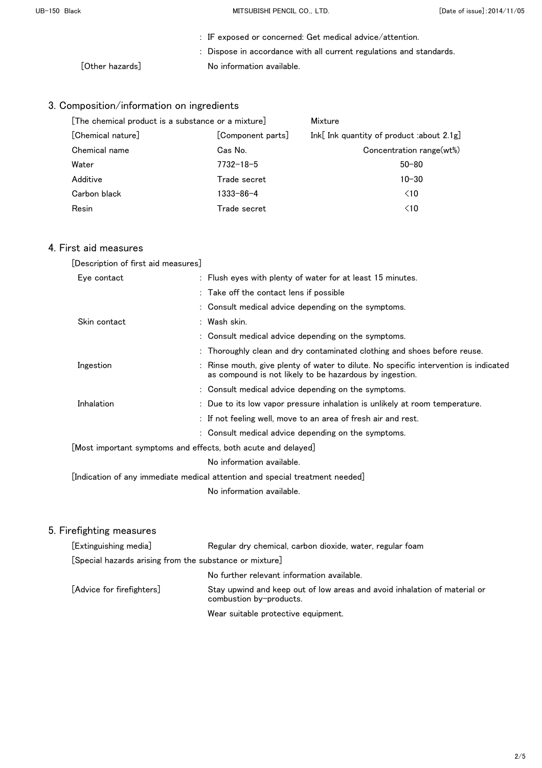UB-150 Black **MITSUBISHI PENCIL CO., LTD.** [Date of issue]:2014/11/05

|                 | $\therefore$ IF exposed or concerned: Get medical advice/attention. |  |
|-----------------|---------------------------------------------------------------------|--|
|                 | : Dispose in accordance with all current regulations and standards. |  |
| [Other hazards] | No information available.                                           |  |

## 3. Composition/information on ingredients

| [The chemical product is a substance or a mixture] |                 | Mixture                                     |  |
|----------------------------------------------------|-----------------|---------------------------------------------|--|
| [Chemical nature]<br>[Component parts]             |                 | Ink[Ink quantity of product :about $2.1g$ ] |  |
| Chemical name                                      | Cas No.         | Concentration range(wt%)                    |  |
| Water                                              | $7732 - 18 - 5$ | $50 - 80$                                   |  |
| Additive                                           | Trade secret    | $10 - 30$                                   |  |
| Carbon black                                       | 1333-86-4       | $\leq 10$                                   |  |
| Resin                                              | Trade secret    | $\leq 10$                                   |  |

### 4. First aid measures

| [Description of first aid measures]                                          |                                                                                                                                               |  |
|------------------------------------------------------------------------------|-----------------------------------------------------------------------------------------------------------------------------------------------|--|
| Eye contact                                                                  | : Flush eyes with plenty of water for at least 15 minutes.                                                                                    |  |
|                                                                              | : Take off the contact lens if possible                                                                                                       |  |
|                                                                              | : Consult medical advice depending on the symptoms.                                                                                           |  |
| Skin contact                                                                 | : Wash skin.                                                                                                                                  |  |
|                                                                              | : Consult medical advice depending on the symptoms.                                                                                           |  |
|                                                                              | : Thoroughly clean and dry contaminated clothing and shoes before reuse.                                                                      |  |
| Ingestion                                                                    | Rinse mouth, give plenty of water to dilute. No specific intervention is indicated<br>as compound is not likely to be hazardous by ingestion. |  |
|                                                                              | : Consult medical advice depending on the symptoms.                                                                                           |  |
| Inhalation                                                                   | : Due to its low vapor pressure inhalation is unlikely at room temperature.                                                                   |  |
|                                                                              | : If not feeling well, move to an area of fresh air and rest.                                                                                 |  |
|                                                                              | : Consult medical advice depending on the symptoms.                                                                                           |  |
| [Most important symptoms and effects, both acute and delayed]                |                                                                                                                                               |  |
| No information available.                                                    |                                                                                                                                               |  |
| [Indication of any immediate medical attention and special treatment needed] |                                                                                                                                               |  |

No information available.

| [Extinguishing media]                                   | Regular dry chemical, carbon dioxide, water, regular foam                                            |  |
|---------------------------------------------------------|------------------------------------------------------------------------------------------------------|--|
| [Special hazards arising from the substance or mixture] |                                                                                                      |  |
|                                                         | No further relevant information available.                                                           |  |
| [Advice for firefighters]                               | Stay upwind and keep out of low areas and avoid inhalation of material or<br>combustion by-products. |  |
|                                                         | Wear suitable protective equipment.                                                                  |  |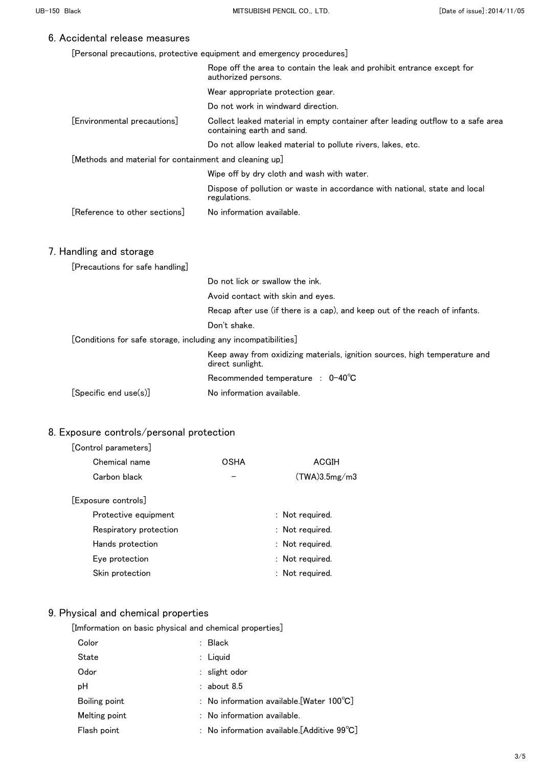|  | [Personal precautions, protective equipment and emergency procedures] |  |
|--|-----------------------------------------------------------------------|--|
|  |                                                                       |  |

|                                                                | Rope off the area to contain the leak and prohibit entrance except for<br>authorized persons.                 |
|----------------------------------------------------------------|---------------------------------------------------------------------------------------------------------------|
|                                                                | Wear appropriate protection gear.                                                                             |
|                                                                | Do not work in windward direction.                                                                            |
| [Environmental precautions]                                    | Collect leaked material in empty container after leading outflow to a safe area<br>containing earth and sand. |
|                                                                | Do not allow leaked material to pollute rivers, lakes, etc.                                                   |
| [Methods and material for containment and cleaning up]         |                                                                                                               |
|                                                                | Wipe off by dry cloth and wash with water.                                                                    |
|                                                                | Dispose of pollution or waste in accordance with national, state and local<br>regulations.                    |
| [Reference to other sections]                                  | No information available.                                                                                     |
| 7. Handling and storage<br>[Precautions for safe handling]     |                                                                                                               |
|                                                                | Do not lick or swallow the ink.                                                                               |
|                                                                | Avoid contact with skin and eyes.                                                                             |
|                                                                | Recap after use (if there is a cap), and keep out of the reach of infants.                                    |
|                                                                | Don't shake.                                                                                                  |
| [Conditions for safe storage, including any incompatibilities] |                                                                                                               |
|                                                                | Keep away from oxidizing materials, ignition sources, high temperature and<br>direct sunlight.                |
|                                                                | Recommended temperature : $0-40^{\circ}C$                                                                     |
| [Specific end use(s)]                                          | No information available.                                                                                     |

## 8. Exposure controls/personal protection

### [Control parameters]

| Chemical name          | OSHA | ACGIH           |
|------------------------|------|-----------------|
| Carbon black           |      | (TWA)3.5mg/m3   |
| [Exposure controls]    |      |                 |
| Protective equipment   |      | : Not required. |
| Respiratory protection |      | : Not required. |
| Hands protection       |      | : Not required. |
| Eye protection         |      | : Not required. |
| Skin protection        |      | : Not required. |
|                        |      |                 |

## 9. Physical and chemical properties

[Imformation on basic physical and chemical properties]

| Color         | : Black                                               |
|---------------|-------------------------------------------------------|
| State         | $:$ Liquid                                            |
| Odor          | $:$ slight odor                                       |
| рH            | $:$ about 8.5                                         |
| Boiling point | : No information available. [Water $100^{\circ}$ C]   |
| Melting point | $:$ No information available.                         |
| Flash point   | : No information available. [Additive $99^{\circ}C$ ] |
|               |                                                       |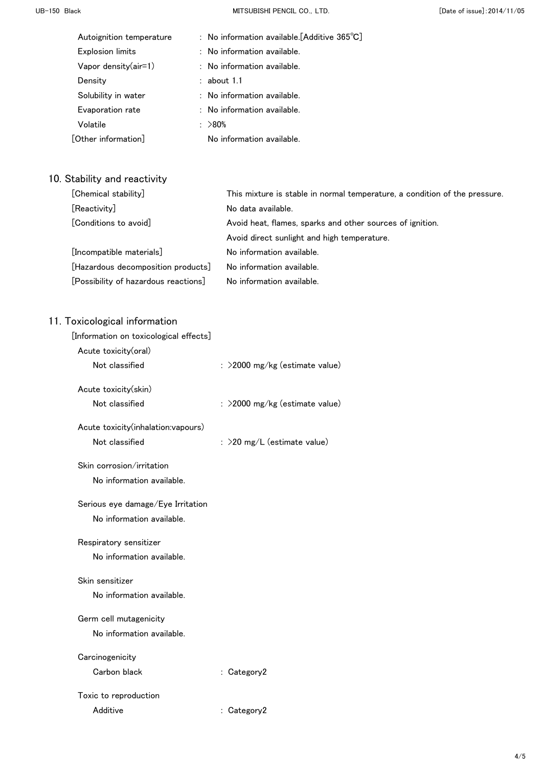UB-150 Black **MITSUBISHI PENCIL CO., LTD.** [Date of issue]:2014/11/05

| Autoignition temperature | : No information available. [Additive $365^{\circ}$ C] |
|--------------------------|--------------------------------------------------------|
| Explosion limits         | $:$ No information available.                          |
| Vapor density $(air=1)$  | $:$ No information available.                          |
| Density                  | $:$ about 1.1                                          |
| Solubility in water      | : No information available.                            |
| Evaporation rate         | : No information available.                            |
| Volatile                 | : >80%                                                 |
| [Other information]      | No information available.                              |

# 10. Stability and reactivity

| [Chemical stability]                 | This mixture is stable in normal temperature, a condition of the pressure. |  |
|--------------------------------------|----------------------------------------------------------------------------|--|
| [Reactivity]                         | No data available.                                                         |  |
| [Conditions to avoid]                | Avoid heat, flames, sparks and other sources of ignition.                  |  |
|                                      | Avoid direct sunlight and high temperature.                                |  |
| [Incompatible materials]             | No information available.                                                  |  |
| [Hazardous decomposition products]   | No information available.                                                  |  |
| [Possibility of hazardous reactions] | No information available.                                                  |  |

| [Information on toxicological effects] |                                  |
|----------------------------------------|----------------------------------|
| Acute toxicity(oral)                   |                                  |
| Not classified                         | $:$ >2000 mg/kg (estimate value) |
| Acute toxicity(skin)                   |                                  |
| Not classified                         | : >2000 mg/kg (estimate value)   |
| Acute toxicity(inhalation:vapours)     |                                  |
| Not classified                         | : >20 mg/L (estimate value)      |
| Skin corrosion/irritation              |                                  |
| No information available.              |                                  |
| Serious eye damage/Eye Irritation      |                                  |
| No information available.              |                                  |
| Respiratory sensitizer                 |                                  |
| No information available.              |                                  |
| Skin sensitizer                        |                                  |
| No information available.              |                                  |
| Germ cell mutagenicity                 |                                  |
| No information available.              |                                  |
| Carcinogenicity                        |                                  |
| Carbon black                           | : Category2                      |
| Toxic to reproduction                  |                                  |
| Additive                               | : Category2                      |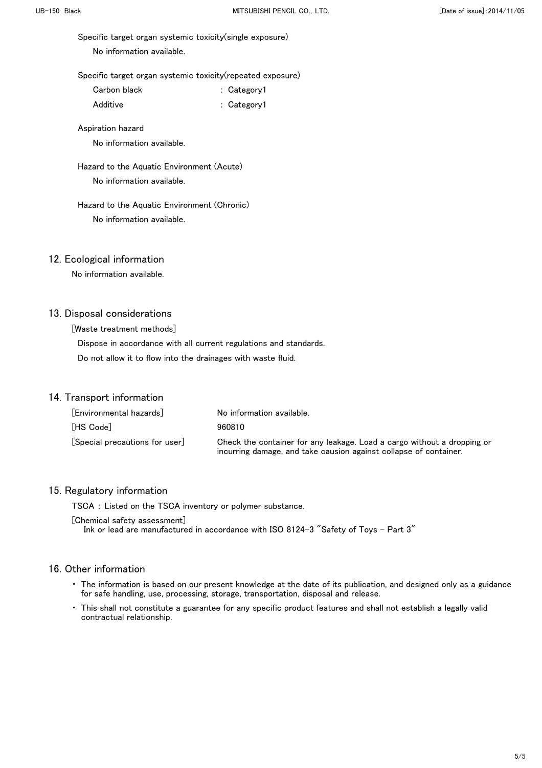Specific target organ systemic toxicity(single exposure)

No information available.

Specific target organ systemic toxicity(repeated exposure)

| Carbon black | : Category1 |
|--------------|-------------|
|              |             |

Additive : Category1

Aspiration hazard

No information available.

 Hazard to the Aquatic Environment (Acute) No information available.

### Hazard to the Aquatic Environment (Chronic) No information available.

#### 12. Ecological information

No information available.

#### 13. Disposal considerations

[Waste treatment methods]

 Dispose in accordance with all current regulations and standards. Do not allow it to flow into the drainages with waste fluid.

#### 14. Transport information

| [Environmental hazards]      | No information available.                                                                                                                    |
|------------------------------|----------------------------------------------------------------------------------------------------------------------------------------------|
| [HS Code]                    | 960810                                                                                                                                       |
| Special precautions for user | Check the container for any leakage. Load a cargo without a dropping or<br>incurring damage, and take causion against collapse of container. |

#### 15. Regulatory information

TSCA : Listed on the TSCA inventory or polymer substance.

[Chemical safety assessment] Ink or lead are manufactured in accordance with ISO 8124-3 "Safety of Toys - Part 3"

- ・ The information is based on our present knowledge at the date of its publication, and designed only as a guidance for safe handling, use, processing, storage, transportation, disposal and release.
- ・ This shall not constitute a guarantee for any specific product features and shall not establish a legally valid contractual relationship.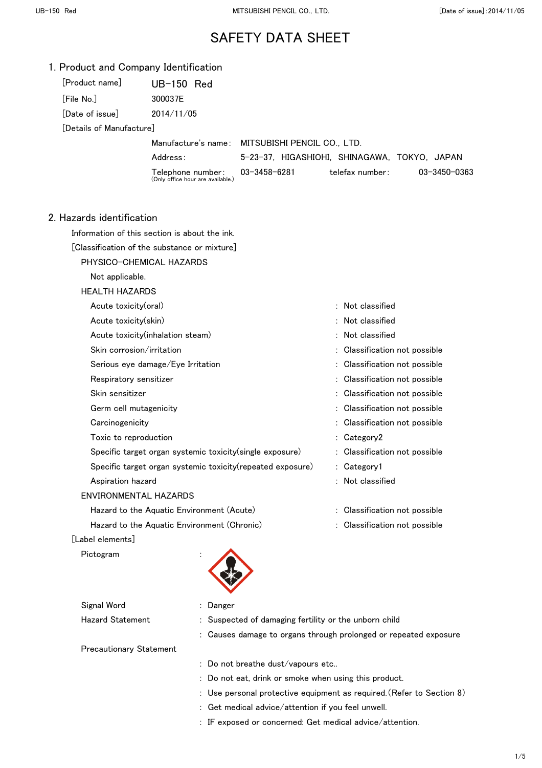|  |  |  |  | 1. Product and Company Identification |
|--|--|--|--|---------------------------------------|
|--|--|--|--|---------------------------------------|

| [Product name]                   | UB-150 Red |  |  |
|----------------------------------|------------|--|--|
| [File No.]                       | 300037F    |  |  |
| $\left[$ Date of issue $\right]$ | 2014/11/05 |  |  |

[Details of Manufacture]

Manufacture's name: MITSUBISHI PENCIL CO., LTD.

Address: 5-23-37, HIGASHIOHI, SHINAGAWA, TOKYO, JAPAN

- Telephone number: (Only office hour are available.)
	-

## 03-3458-6281 telefax number: 03-3450-0363

- 2. Hazards identification
	- Information of this section is about the ink.
	- [Classification of the substance or mixture]
		- PHYSICO-CHEMICAL HAZARDS
			- Not applicable.
		- HEALTH HAZARDS
		- Acute toxicity(oral) and the set of the set of the set of the set of the set of the set of the set of the set o Acute toxicity(skin)  $\qquad \qquad$  : Not classified Acute toxicity(inhalation steam) : Not classified Skin corrosion/irritation  $\blacksquare$ Serious eye damage/Eye Irritation : Classification not possible Respiratory sensitizer : Classification not possible Skin sensitizer : Classification not possible Germ cell mutagenicity  $\qquad \qquad$  : Classification not possible Carcinogenicity **Solution Carcinogenicity** and the contract of classification not possible Toxic to reproduction  $\overline{C}$  and  $\overline{C}$  category  $\overline{C}$  category  $\overline{C}$ Specific target organ systemic toxicity(single exposure) : Classification not possible Specific target organ systemic toxicity(repeated exposure) : Category1 Aspiration hazard is a set of the set of the set of the set of the set of the set of the set of the set of the set of the set of the set of the set of the set of the set of the set of the set of the set of the set of the s ENVIRONMENTAL HAZARDS Hazard to the Aquatic Environment (Acute) **120 Classification not possible** the state of the state of the state of the state of the state of the state of the state of the state of the state of the state of the state of the Hazard to the Aquatic Environment (Chronic) : Classification not possible

#### [Label elements]

Pictogram



| Signal Word                    | : Danger                                                         |
|--------------------------------|------------------------------------------------------------------|
| <b>Hazard Statement</b>        | : Suspected of damaging fertility or the unborn child            |
|                                | : Causes damage to organs through prolonged or repeated exposure |
| <b>Precautionary Statement</b> |                                                                  |
|                                | . . Die met koneetheid von Gregorius ette                        |

Do not breathe dust/vapours etc..

- : Do not eat, drink or smoke when using this product.
- : Use personal protective equipment as required.(Refer to Section 8)
- : Get medical advice/attention if you feel unwell.
- : IF exposed or concerned: Get medical advice/attention.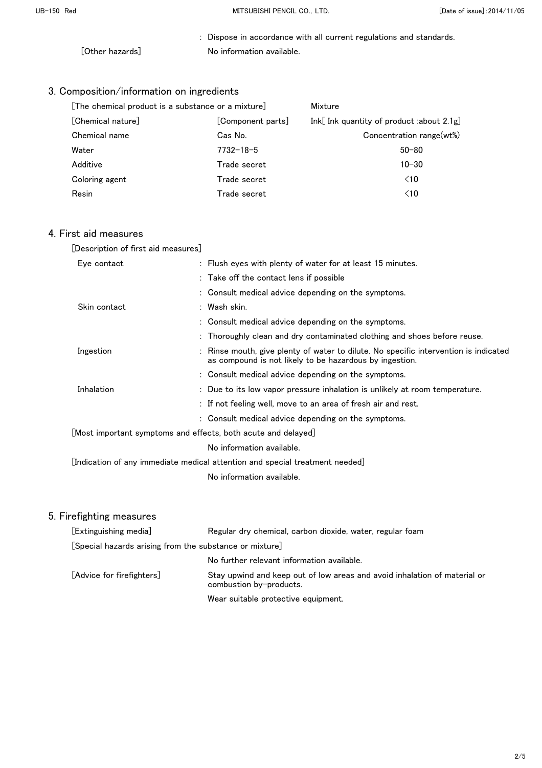: Dispose in accordance with all current regulations and standards. [Other hazards] No information available.

# 3. Composition/information on ingredients

| [The chemical product is a substance or a mixture] |                   | Mixture                                   |  |
|----------------------------------------------------|-------------------|-------------------------------------------|--|
| [Chemical nature]                                  | [Component parts] | Ink[ Ink quantity of product :about 2.1g] |  |
| Chemical name                                      | Cas No.           | Concentration range(wt%)                  |  |
| Water                                              | $7732 - 18 - 5$   | $50 - 80$                                 |  |
| Additive                                           | Trade secret      | $10 - 30$                                 |  |
| Coloring agent                                     | Trade secret      | $\leq 10$                                 |  |
| Resin                                              | Trade secret      | $\leq 10$                                 |  |

### 4. First aid measures

| [Description of first aid measures]                                             |                                                                                                                                               |
|---------------------------------------------------------------------------------|-----------------------------------------------------------------------------------------------------------------------------------------------|
| Eye contact                                                                     | : Flush eyes with plenty of water for at least 15 minutes.                                                                                    |
|                                                                                 | : Take off the contact lens if possible                                                                                                       |
|                                                                                 | : Consult medical advice depending on the symptoms.                                                                                           |
| Skin contact                                                                    | : Wash skin.                                                                                                                                  |
|                                                                                 | : Consult medical advice depending on the symptoms.                                                                                           |
|                                                                                 | : Thoroughly clean and dry contaminated clothing and shoes before reuse.                                                                      |
| Ingestion                                                                       | Rinse mouth, give plenty of water to dilute. No specific intervention is indicated<br>as compound is not likely to be hazardous by ingestion. |
|                                                                                 | : Consult medical advice depending on the symptoms.                                                                                           |
| Inhalation                                                                      | : Due to its low vapor pressure inhalation is unlikely at room temperature.                                                                   |
|                                                                                 | : If not feeling well, move to an area of fresh air and rest.                                                                                 |
|                                                                                 | : Consult medical advice depending on the symptoms.                                                                                           |
| $\lfloor$ Most important symptoms and effects, both acute and delayed $\rfloor$ |                                                                                                                                               |
|                                                                                 | No information available.                                                                                                                     |
|                                                                                 | [Indication of any immediate medical attention and special treatment needed] $\,$                                                             |
|                                                                                 | No information available.                                                                                                                     |
|                                                                                 |                                                                                                                                               |

| [Extinguishing media]                                   | Regular dry chemical, carbon dioxide, water, regular foam                                            |  |  |
|---------------------------------------------------------|------------------------------------------------------------------------------------------------------|--|--|
| [Special hazards arising from the substance or mixture] |                                                                                                      |  |  |
|                                                         | No further relevant information available.                                                           |  |  |
| [Advice for firefighters]                               | Stay upwind and keep out of low areas and avoid inhalation of material or<br>combustion by-products. |  |  |
|                                                         | Wear suitable protective equipment.                                                                  |  |  |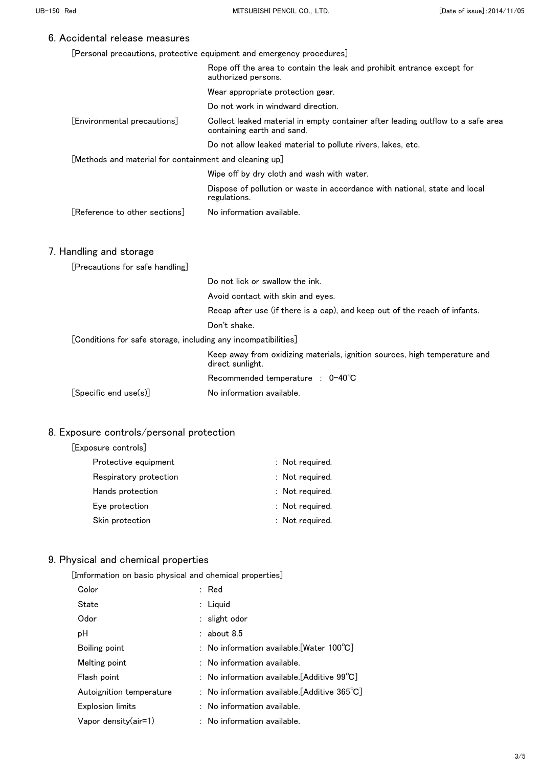| [Personal precautions, protective equipment and emergency procedures] |  |  |  |  |
|-----------------------------------------------------------------------|--|--|--|--|
|-----------------------------------------------------------------------|--|--|--|--|

|                                                                | Rope off the area to contain the leak and prohibit entrance except for<br>authorized persons.                 |
|----------------------------------------------------------------|---------------------------------------------------------------------------------------------------------------|
|                                                                | Wear appropriate protection gear.                                                                             |
|                                                                | Do not work in windward direction.                                                                            |
| [Environmental precautions]                                    | Collect leaked material in empty container after leading outflow to a safe area<br>containing earth and sand. |
|                                                                | Do not allow leaked material to pollute rivers, lakes, etc.                                                   |
| [Methods and material for containment and cleaning up]         |                                                                                                               |
|                                                                | Wipe off by dry cloth and wash with water.                                                                    |
|                                                                | Dispose of pollution or waste in accordance with national, state and local<br>regulations.                    |
| [Reference to other sections]                                  | No information available.                                                                                     |
|                                                                |                                                                                                               |
| 7. Handling and storage                                        |                                                                                                               |
| [Precautions for safe handling]                                |                                                                                                               |
|                                                                | Do not lick or swallow the ink.                                                                               |
|                                                                | Avoid contact with skin and eyes.                                                                             |
|                                                                | Recap after use (if there is a cap), and keep out of the reach of infants.                                    |
|                                                                | Don't shake.                                                                                                  |
| [Conditions for safe storage, including any incompatibilities] |                                                                                                               |
|                                                                | Keep away from oxidizing materials, ignition sources, high temperature and<br>direct sunlight.                |
|                                                                | Recommended temperature : $0-40^{\circ}C$                                                                     |
| [Specific end use(s)]                                          | No information available.                                                                                     |

## 8. Exposure controls/personal protection

| [Exposure controls] |  |
|---------------------|--|
|---------------------|--|

| Protective equipment   | : Not required. |
|------------------------|-----------------|
| Respiratory protection | : Not required. |
| Hands protection       | : Not required. |
| Eye protection         | : Not required. |
| Skin protection        | : Not required. |
|                        |                 |

# 9. Physical and chemical properties

[Imformation on basic physical and chemical properties]

| Color                    | $:$ Red                                                      |
|--------------------------|--------------------------------------------------------------|
| State                    | $:$ Liquid                                                   |
| Odor                     | : slight odor                                                |
| рH                       | $:$ about 8.5                                                |
| Boiling point            | : No information available.[Water 100°C]                     |
| Melting point            | $:$ No information available.                                |
| Flash point              | : No information available.[Additive $99^{\circ}\text{C}$ ]  |
| Autoignition temperature | : No information available.[Additive $365^{\circ}\text{C}$ ] |
| <b>Explosion limits</b>  | : No information available.                                  |
| Vapor density(air=1)     | $:$ No information available.                                |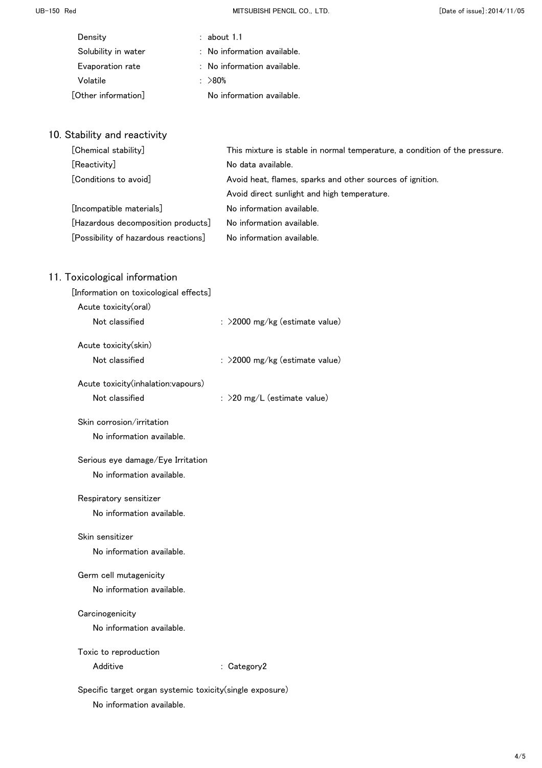UB-150 Red **MITSUBISHI PENCIL CO., LTD.** CO., LTD. CO., LTD. CO., LTD. CO., LTD. CO., LTD. CO., LTD. CO., LTD. CO., LTD. CO., LTD. CO., LTD. CO., LTD. CO., LTD. CO., LTD. CO., LTD. CO., LTD. CO., LTD. CO., LTD. CO., LTD. C

| Density             | about 1.1                              |
|---------------------|----------------------------------------|
| Solubility in water | : No information available.            |
| Evaporation rate    | $\therefore$ No information available. |
| Volatile            | : $>80\%$                              |
| [Other information] | No information available.              |

# 10. Stability and reactivity

| [Chemical stability]                 | This mixture is stable in normal temperature, a condition of the pressure. |
|--------------------------------------|----------------------------------------------------------------------------|
| [Reactivity]                         | No data available.                                                         |
| [Conditions to avoid]                | Avoid heat, flames, sparks and other sources of ignition.                  |
|                                      | Avoid direct sunlight and high temperature.                                |
| [Incompatible materials]             | No information available.                                                  |
| [Hazardous decomposition products]   | No information available.                                                  |
| [Possibility of hazardous reactions] | No information available.                                                  |

| [Information on toxicological effects]                   |                                |
|----------------------------------------------------------|--------------------------------|
| Acute toxicity(oral)                                     |                                |
| Not classified                                           | : >2000 mg/kg (estimate value) |
| Acute toxicity(skin)                                     |                                |
| Not classified                                           | : >2000 mg/kg (estimate value) |
| Acute toxicity(inhalation:vapours)                       |                                |
| Not classified                                           | : >20 mg/L (estimate value)    |
| Skin corrosion/irritation                                |                                |
| No information available.                                |                                |
| Serious eye damage/Eye Irritation                        |                                |
| No information available.                                |                                |
| Respiratory sensitizer                                   |                                |
| No information available.                                |                                |
| Skin sensitizer                                          |                                |
| No information available.                                |                                |
| Germ cell mutagenicity                                   |                                |
| No information available.                                |                                |
| Carcinogenicity                                          |                                |
| No information available.                                |                                |
| Toxic to reproduction                                    |                                |
| Additive                                                 | : $Categorical$                |
| Specific target organ systemic toxicity(single exposure) |                                |
| No information available.                                |                                |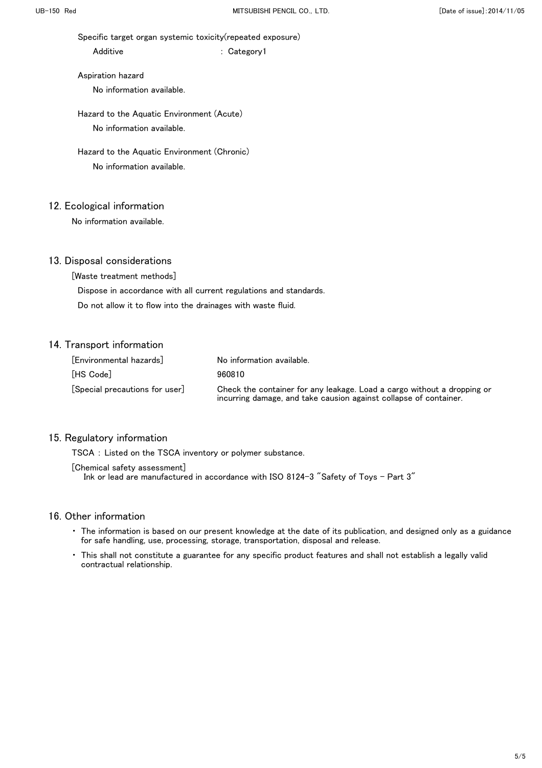Specific target organ systemic toxicity(repeated exposure)

Additive : Category1

 Aspiration hazard No information available.

 Hazard to the Aquatic Environment (Acute) No information available.

 Hazard to the Aquatic Environment (Chronic) No information available.

#### 12. Ecological information

No information available.

#### 13. Disposal considerations

[Waste treatment methods]

Dispose in accordance with all current regulations and standards.

Do not allow it to flow into the drainages with waste fluid.

### 14. Transport information

| [Environmental hazards]      | No information available.                                                                                                                    |
|------------------------------|----------------------------------------------------------------------------------------------------------------------------------------------|
| [HS Code]                    | 960810                                                                                                                                       |
| Special precautions for user | Check the container for any leakage. Load a cargo without a dropping or<br>incurring damage, and take causion against collapse of container. |

#### 15. Regulatory information

TSCA : Listed on the TSCA inventory or polymer substance.

[Chemical safety assessment]

Ink or lead are manufactured in accordance with ISO 8124-3 "Safety of Toys - Part 3"

- ・ The information is based on our present knowledge at the date of its publication, and designed only as a guidance for safe handling, use, processing, storage, transportation, disposal and release.
- ・ This shall not constitute a guarantee for any specific product features and shall not establish a legally valid contractual relationship.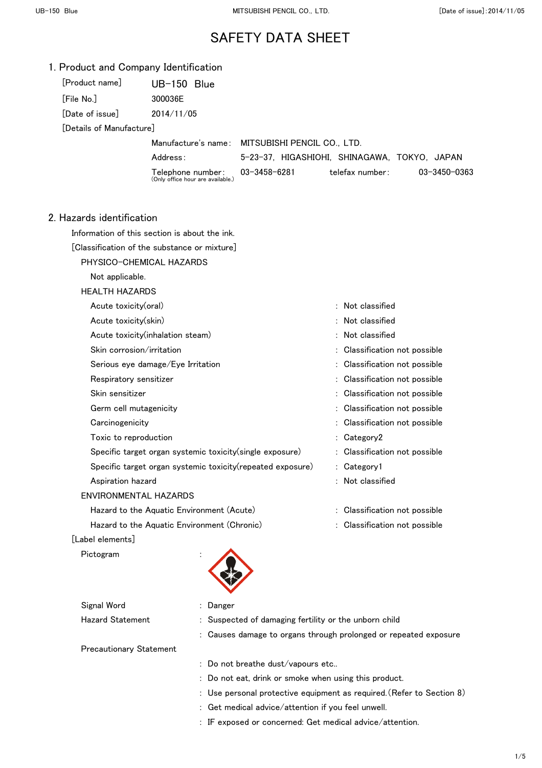| 1. Product and Company Identification |  |  |
|---------------------------------------|--|--|
|---------------------------------------|--|--|

| [Product name]            | $UB-150$ Blue |
|---------------------------|---------------|
| [File No.]                | 300036E       |
| [Date of issue]           | 2014/11/05    |
| En 1999 - A Marc Andrew T |               |

[Details of Manufacture]

Manufacture's name: MITSUBISHI PENCIL CO., LTD.

Address: 5-23-37, HIGASHIOHI, SHINAGAWA, TOKYO, JAPAN

Telephone number: (Only office hour are available.)

- 
- 

telefax number: 03-3450-0363

2. Hazards identification

Information of this section is about the ink.

[Classification of the substance or mixture]

PHYSICO-CHEMICAL HAZARDS

Not applicable.

HEALTH HAZARDS

| Acute toxicity(oral)                                        | : Not classified              |
|-------------------------------------------------------------|-------------------------------|
| Acute toxicity(skin)                                        | $:$ Not classified            |
| Acute toxicity (inhalation steam)                           | : Not classified              |
| Skin corrosion/irritation                                   | : Classification not possible |
| Serious eye damage/Eye Irritation                           | : Classification not possible |
| Respiratory sensitizer                                      | : Classification not possible |
| Skin sensitizer                                             | : Classification not possible |
| Germ cell mutagenicity                                      | : Classification not possible |
| Carcinogenicity                                             | : Classification not possible |
| Toxic to reproduction                                       | $:$ Category 2                |
| Specific target organ systemic toxicity (single exposure)   | : Classification not possible |
| Specific target organ systemic toxicity (repeated exposure) | : Category1                   |
| Aspiration hazard                                           | $:$ Not classified            |
| ENVIRONMENTAL HAZARDS                                       |                               |
| Hazard to the Aquatic Environment (Acute)                   | : Classification not possible |
| Hazard to the Aquatic Environment (Chronic)                 | : Classification not possible |

[Label elements]

Pictogram



| Signal Word                    | : Danger                                                         |
|--------------------------------|------------------------------------------------------------------|
| Hazard Statement               | : Suspected of damaging fertility or the unborn child            |
|                                | : Causes damage to organs through prolonged or repeated exposure |
| <b>Precautionary Statement</b> |                                                                  |

: Do not breathe dust/vapours etc..

- : Do not eat, drink or smoke when using this product.
- : Use personal protective equipment as required.(Refer to Section 8)
- : Get medical advice/attention if you feel unwell.
- : IF exposed or concerned: Get medical advice/attention.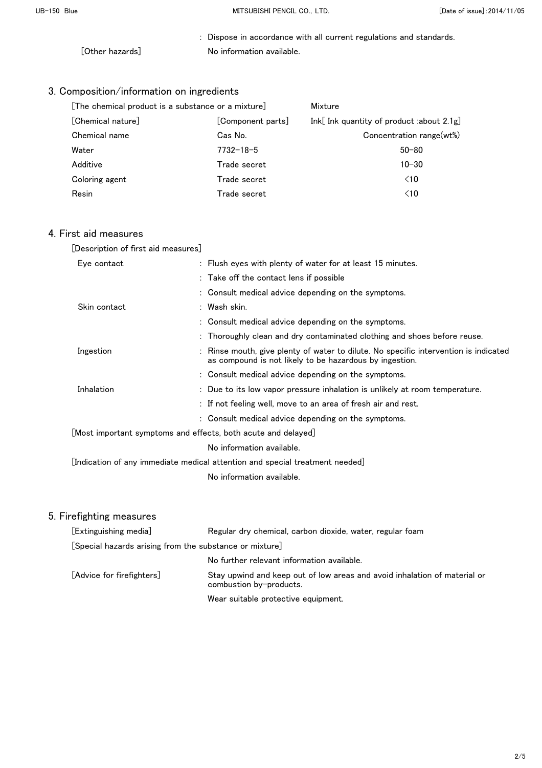: Dispose in accordance with all current regulations and standards. [Other hazards] No information available.

# 3. Composition/information on ingredients

| [The chemical product is a substance or a mixture] |                   | Mixture                                     |  |
|----------------------------------------------------|-------------------|---------------------------------------------|--|
| [Chemical nature]                                  | [Component parts] | Ink[Ink quantity of product :about $2.1g$ ] |  |
| Chemical name                                      | Cas No.           | Concentration range(wt%)                    |  |
| Water                                              | $7732 - 18 - 5$   | $50 - 80$                                   |  |
| Additive                                           | Trade secret      | $10 - 30$                                   |  |
| Coloring agent                                     | Trade secret      | $\leq 10$                                   |  |
| Resin                                              | Trade secret      | $\leq 10$                                   |  |

### 4. First aid measures

| [Description of first aid measures]                                             |                                                                                                                                               |
|---------------------------------------------------------------------------------|-----------------------------------------------------------------------------------------------------------------------------------------------|
| Eye contact                                                                     | : Flush eyes with plenty of water for at least 15 minutes.                                                                                    |
|                                                                                 | : Take off the contact lens if possible                                                                                                       |
|                                                                                 | : Consult medical advice depending on the symptoms.                                                                                           |
| Skin contact                                                                    | : Wash skin.                                                                                                                                  |
|                                                                                 | : Consult medical advice depending on the symptoms.                                                                                           |
|                                                                                 | : Thoroughly clean and dry contaminated clothing and shoes before reuse.                                                                      |
| Ingestion                                                                       | Rinse mouth, give plenty of water to dilute. No specific intervention is indicated<br>as compound is not likely to be hazardous by ingestion. |
|                                                                                 | : Consult medical advice depending on the symptoms.                                                                                           |
| Inhalation                                                                      | : Due to its low vapor pressure inhalation is unlikely at room temperature.                                                                   |
|                                                                                 | : If not feeling well, move to an area of fresh air and rest.                                                                                 |
|                                                                                 | : Consult medical advice depending on the symptoms.                                                                                           |
| $\lfloor$ Most important symptoms and effects, both acute and delayed $\rfloor$ |                                                                                                                                               |
|                                                                                 | No information available.                                                                                                                     |
|                                                                                 | [Indication of any immediate medical attention and special treatment needed] $\,$                                                             |
|                                                                                 | No information available.                                                                                                                     |
|                                                                                 |                                                                                                                                               |

| [Extinguishing media]                                   | Regular dry chemical, carbon dioxide, water, regular foam                                            |
|---------------------------------------------------------|------------------------------------------------------------------------------------------------------|
| [Special hazards arising from the substance or mixture] |                                                                                                      |
|                                                         | No further relevant information available.                                                           |
| [Advice for firefighters]                               | Stay upwind and keep out of low areas and avoid inhalation of material or<br>combustion by-products. |
|                                                         | Wear suitable protective equipment.                                                                  |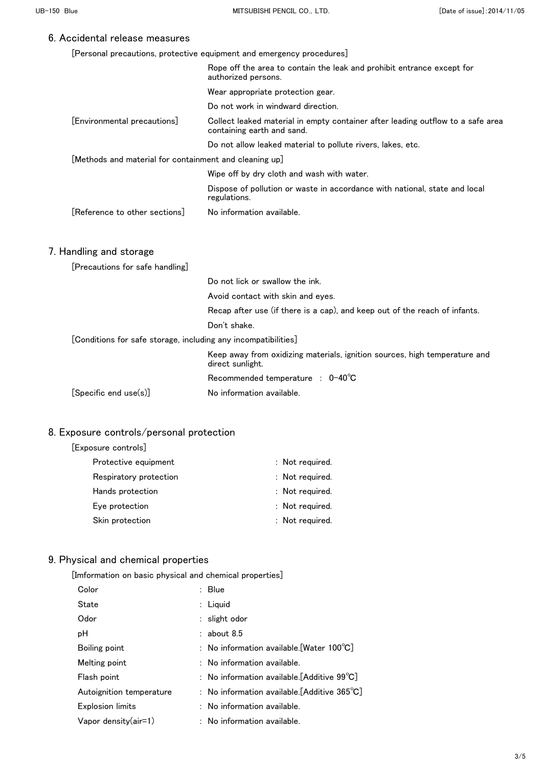| [Personal precautions, protective equipment and emergency procedures] |  |  |  |  |
|-----------------------------------------------------------------------|--|--|--|--|
|-----------------------------------------------------------------------|--|--|--|--|

|                                                                | Rope off the area to contain the leak and prohibit entrance except for<br>authorized persons.                 |
|----------------------------------------------------------------|---------------------------------------------------------------------------------------------------------------|
|                                                                | Wear appropriate protection gear.                                                                             |
|                                                                | Do not work in windward direction.                                                                            |
| [Environmental precautions]                                    | Collect leaked material in empty container after leading outflow to a safe area<br>containing earth and sand. |
|                                                                | Do not allow leaked material to pollute rivers, lakes, etc.                                                   |
| [Methods and material for containment and cleaning up]         |                                                                                                               |
|                                                                | Wipe off by dry cloth and wash with water.                                                                    |
|                                                                | Dispose of pollution or waste in accordance with national, state and local<br>regulations.                    |
| Reference to other sections                                    | No information available.                                                                                     |
|                                                                |                                                                                                               |
| 7. Handling and storage                                        |                                                                                                               |
| [Precautions for safe handling]                                |                                                                                                               |
|                                                                | Do not lick or swallow the ink.                                                                               |
|                                                                | Avoid contact with skin and eyes.                                                                             |
|                                                                | Recap after use (if there is a cap), and keep out of the reach of infants.                                    |
|                                                                | Don't shake.                                                                                                  |
| [Conditions for safe storage, including any incompatibilities] |                                                                                                               |
|                                                                | Keep away from oxidizing materials, ignition sources, high temperature and<br>direct sunlight.                |
|                                                                | Recommended temperature : 0-40°C                                                                              |
| [Specific end use(s)]                                          | No information available.                                                                                     |
|                                                                |                                                                                                               |

## 8. Exposure controls/personal protection

| [Exposure controls] |  |
|---------------------|--|
|---------------------|--|

| Protective equipment   | : Not required. |
|------------------------|-----------------|
| Respiratory protection | : Not required. |
| Hands protection       | : Not required. |
| Eye protection         | : Not required. |
| Skin protection        | : Not required. |
|                        |                 |

# 9. Physical and chemical properties

[Imformation on basic physical and chemical properties]

| Color                    | : Blue                                                       |
|--------------------------|--------------------------------------------------------------|
| State                    | $:$ Liquid                                                   |
| Odor                     | $:$ slight odor                                              |
| рH                       | $:$ about 8.5                                                |
| Boiling point            | : No information available. [Water $100^{\circ}$ C]          |
| Melting point            | : No information available.                                  |
| Flash point              | : No information available.[Additive $99^{\circ}$ C]         |
| Autoignition temperature | : No information available.[Additive $365^{\circ}\text{C}$ ] |
| <b>Explosion limits</b>  | : No information available.                                  |
| Vapor density(air=1)     | : No information available.                                  |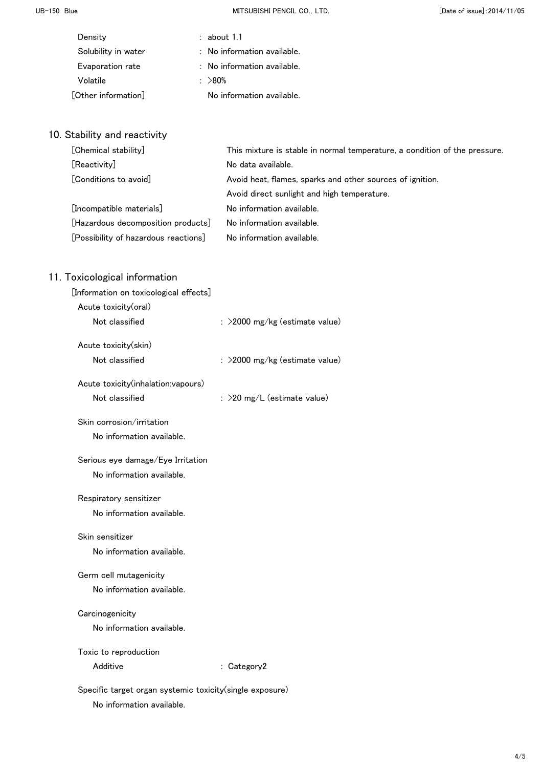UB-150 Blue **MITSUBISHI PENCIL CO., LTD.** CO., LTD. CO., LTD. CO., LTD. CO., LTD. CO., LTD. CO., LTD. CO., LTD. CO., LTD. CO., LTD. CO., LTD. CO., LTD. CO., LTD. CO., LTD. CO., LTD. CO., LTD. CO., LTD. CO., LTD. CO., LTD.

| Density             | about 1.1                              |
|---------------------|----------------------------------------|
| Solubility in water | : No information available.            |
| Evaporation rate    | $\therefore$ No information available. |
| Volatile            | : $>80\%$                              |
| [Other information] | No information available.              |

# 10. Stability and reactivity

| [Chemical stability]                 | This mixture is stable in normal temperature, a condition of the pressure. |
|--------------------------------------|----------------------------------------------------------------------------|
| [Reactivity]                         | No data available.                                                         |
| [Conditions to avoid]                | Avoid heat, flames, sparks and other sources of ignition.                  |
|                                      | Avoid direct sunlight and high temperature.                                |
| [Incompatible materials]             | No information available.                                                  |
| [Hazardous decomposition products]   | No information available.                                                  |
| [Possibility of hazardous reactions] | No information available.                                                  |

| [Information on toxicological effects]                    |                                |
|-----------------------------------------------------------|--------------------------------|
| Acute toxicity(oral)                                      |                                |
| Not classified                                            | : >2000 mg/kg (estimate value) |
| Acute toxicity(skin)                                      |                                |
| Not classified                                            | : >2000 mg/kg (estimate value) |
| Acute toxicity(inhalation:vapours)                        |                                |
| Not classified                                            | : >20 mg/L (estimate value)    |
| Skin corrosion/irritation                                 |                                |
| No information available.                                 |                                |
| Serious eye damage/Eye Irritation                         |                                |
| No information available.                                 |                                |
| Respiratory sensitizer                                    |                                |
| No information available.                                 |                                |
| Skin sensitizer                                           |                                |
| No information available.                                 |                                |
| Germ cell mutagenicity                                    |                                |
| No information available.                                 |                                |
| Carcinogenicity                                           |                                |
| No information available.                                 |                                |
| Toxic to reproduction                                     |                                |
| Additive                                                  | : Category2                    |
| Specific target organ systemic toxicity (single exposure) |                                |
| No information available.                                 |                                |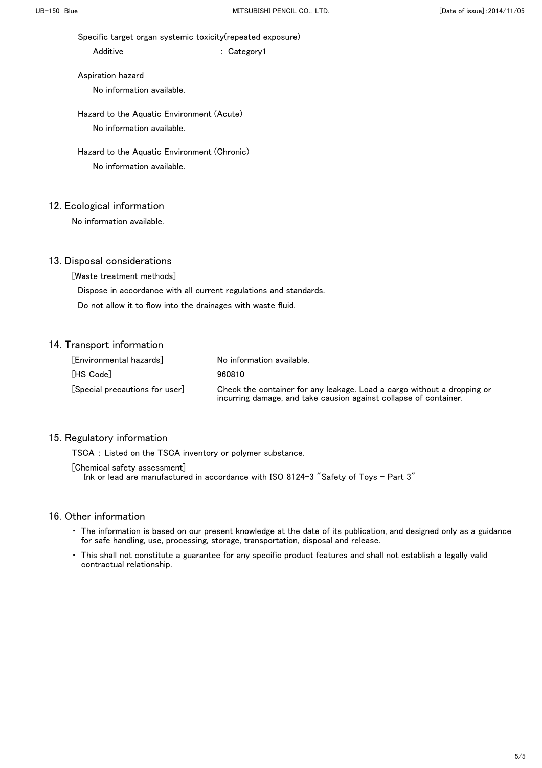Specific target organ systemic toxicity(repeated exposure)

Additive : Category1

 Aspiration hazard No information available.

 Hazard to the Aquatic Environment (Acute) No information available.

 Hazard to the Aquatic Environment (Chronic) No information available.

### 12. Ecological information

No information available.

### 13. Disposal considerations

[Waste treatment methods]

Dispose in accordance with all current regulations and standards.

Do not allow it to flow into the drainages with waste fluid.

### 14. Transport information

| [Environmental hazards]        | No information available.                                                                                                                    |
|--------------------------------|----------------------------------------------------------------------------------------------------------------------------------------------|
| [HS Code]                      | 960810                                                                                                                                       |
| [Special precautions for user] | Check the container for any leakage. Load a cargo without a dropping or<br>incurring damage, and take causion against collapse of container. |

#### 15. Regulatory information

TSCA : Listed on the TSCA inventory or polymer substance.

[Chemical safety assessment]

Ink or lead are manufactured in accordance with ISO 8124-3 "Safety of Toys - Part 3"

- ・ The information is based on our present knowledge at the date of its publication, and designed only as a guidance for safe handling, use, processing, storage, transportation, disposal and release.
- ・ This shall not constitute a guarantee for any specific product features and shall not establish a legally valid contractual relationship.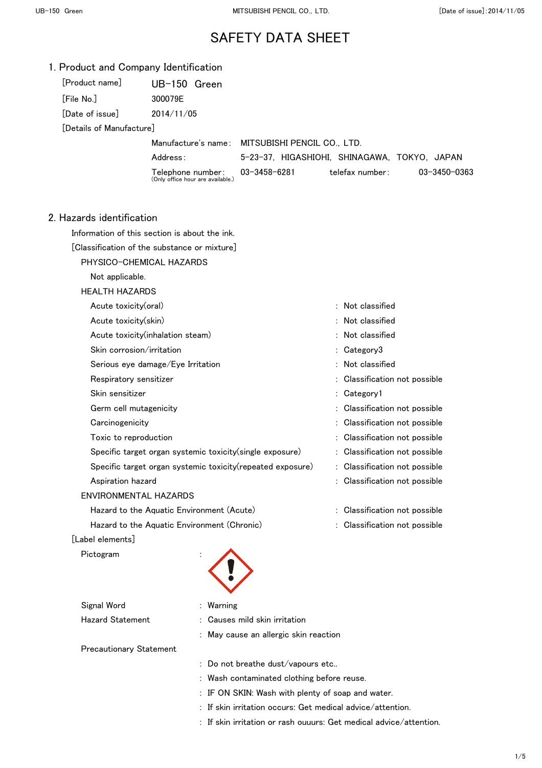|  |  |  |  | 1. Product and Company Identification |
|--|--|--|--|---------------------------------------|
|--|--|--|--|---------------------------------------|

| [Product name]           | $UB-150$ Green                                         |                                                 |                 |              |
|--------------------------|--------------------------------------------------------|-------------------------------------------------|-----------------|--------------|
| [File No.]               | 300079E                                                |                                                 |                 |              |
| [Date of issue]          | 2014/11/05                                             |                                                 |                 |              |
| [Details of Manufacture] |                                                        |                                                 |                 |              |
|                          |                                                        | Manufacture's name: MITSUBISHI PENCIL CO., LTD. |                 |              |
|                          | Address:                                               | 5-23-37. HIGASHIOHI, SHINAGAWA, TOKYO, JAPAN    |                 |              |
|                          | Telephone number:<br>(Only office hour are available.) | 03-3458-6281                                    | telefax number: | 03-3450-0363 |
|                          |                                                        |                                                 |                 |              |
| dazarde identification   |                                                        |                                                 |                 |              |

#### 2. Hazards identification

Information of this section is about the ink.

[Classification of the substance or mixture]

PHYSICO-CHEMICAL HAZARDS

Not applicable.

#### HEALTH HAZARDS

| Acute toxicity(oral)                                        | $:$ Not classified            |
|-------------------------------------------------------------|-------------------------------|
| Acute toxicity(skin)                                        | $:$ Not classified            |
| Acute toxicity (inhalation steam)                           | : Not classified              |
| Skin corrosion/irritation                                   | : Category3                   |
| Serious eye damage/Eye Irritation                           | : Not classified              |
| Respiratory sensitizer                                      | : Classification not possible |
| Skin sensitizer                                             | Category1                     |
| Germ cell mutagenicity                                      | : Classification not possible |
| Carcinogenicity                                             | : Classification not possible |
| Toxic to reproduction                                       | Classification not possible   |
| Specific target organ systemic toxicity (single exposure)   | : Classification not possible |
| Specific target organ systemic toxicity (repeated exposure) | : Classification not possible |
| Aspiration hazard                                           | : Classification not possible |
| ENVIRONMENTAL HAZARDS                                       |                               |
| Hazard to the Aquatic Environment (Acute)                   | Classification not possible   |
| Hazard to the Aquatic Environment (Chronic)                 | Classification not possible   |
|                                                             |                               |

### [Label elements]

Pictogram

| <b>PICTOgram</b>               | ٠                                     |
|--------------------------------|---------------------------------------|
| Signal Word                    | : Warning                             |
| <b>Hazard Statement</b>        | : Causes mild skin irritation         |
|                                | : May cause an allergic skin reaction |
| <b>Precautionary Statement</b> |                                       |
|                                |                                       |

: Do not breathe dust/vapours etc..

- : Wash contaminated clothing before reuse.
- : IF ON SKIN: Wash with plenty of soap and water.
- : If skin irritation occurs: Get medical advice/attention.
- : If skin irritation or rash ouuurs: Get medical advice/attention.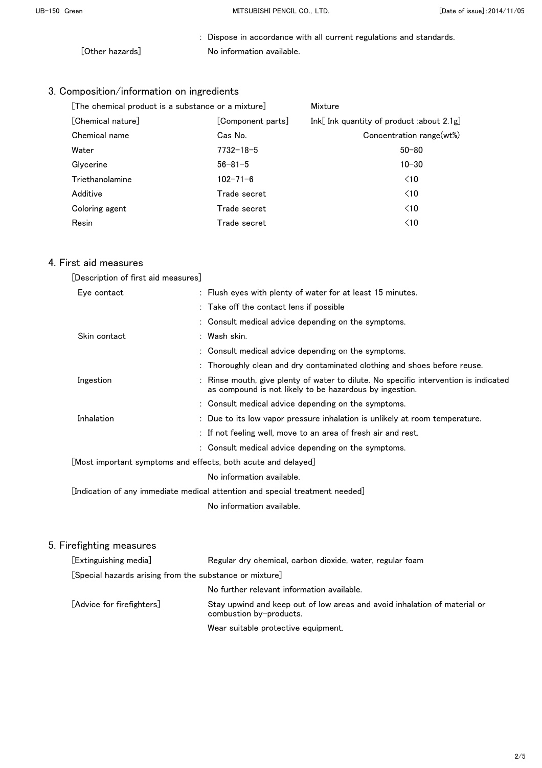: Dispose in accordance with all current regulations and standards. [Other hazards] No information available.

# 3. Composition/information on ingredients

| [The chemical product is a substance or a mixture] | Mixture           |                                             |
|----------------------------------------------------|-------------------|---------------------------------------------|
| [Chemical nature]                                  | [Component parts] | Ink[Ink quantity of product :about $2.1g$ ] |
| Chemical name                                      | Cas No.           | Concentration range(wt%)                    |
| Water                                              | $7732 - 18 - 5$   | $50 - 80$                                   |
| Glycerine                                          | $56 - 81 - 5$     | $10 - 30$                                   |
| Triethanolamine                                    | $102 - 71 - 6$    | $\leq 10$                                   |
| Additive                                           | Trade secret      | $\leq 10$                                   |
| Coloring agent                                     | Trade secret      | $\leq 10$                                   |
| Resin                                              | Trade secret      | $\leq 10$                                   |

### 4. First aid measures

| [Description of first aid measures] |  |  |
|-------------------------------------|--|--|
|                                     |  |  |

| Eye contact  | : Flush eyes with plenty of water for at least 15 minutes.                                                                                      |
|--------------|-------------------------------------------------------------------------------------------------------------------------------------------------|
|              | : Take off the contact lens if possible                                                                                                         |
|              | : Consult medical advice depending on the symptoms.                                                                                             |
| Skin contact | : Wash skin.                                                                                                                                    |
|              | : Consult medical advice depending on the symptoms.                                                                                             |
|              | : Thoroughly clean and dry contaminated clothing and shoes before reuse.                                                                        |
| Ingestion    | : Rinse mouth, give plenty of water to dilute. No specific intervention is indicated<br>as compound is not likely to be hazardous by ingestion. |
|              | : Consult medical advice depending on the symptoms.                                                                                             |
| Inhalation   | : Due to its low vapor pressure inhalation is unlikely at room temperature.                                                                     |
|              | : If not feeling well, move to an area of fresh air and rest.                                                                                   |
|              | : Consult medical advice depending on the symptoms.                                                                                             |
|              | [Most important symptoms and effects, both acute and delayed]                                                                                   |
|              | No information available.                                                                                                                       |
|              | [Indication of any immediate medical attention and special treatment $\mathsf{needed} $                                                         |
|              | No information available.                                                                                                                       |

| [Extinguishing media]                                   | Regular dry chemical, carbon dioxide, water, regular foam                                            |  |
|---------------------------------------------------------|------------------------------------------------------------------------------------------------------|--|
| [Special hazards arising from the substance or mixture] |                                                                                                      |  |
|                                                         | No further relevant information available.                                                           |  |
| [Advice for firefighters]                               | Stay upwind and keep out of low areas and avoid inhalation of material or<br>combustion by-products. |  |
|                                                         | Wear suitable protective equipment.                                                                  |  |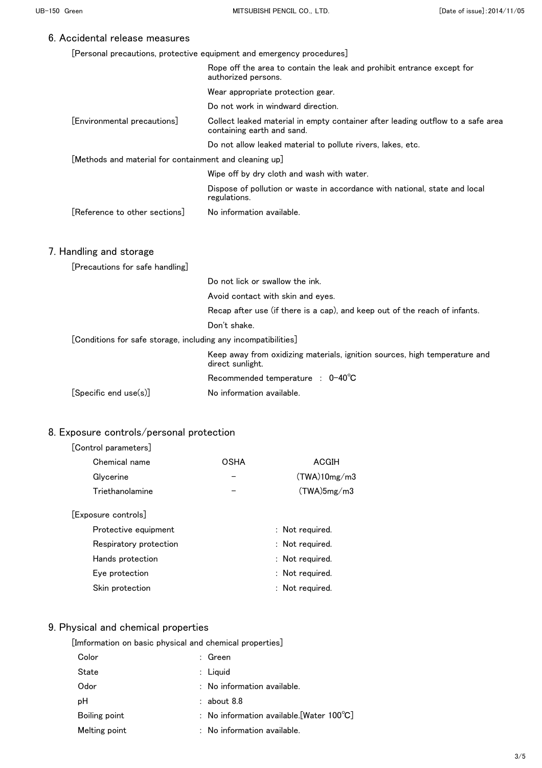|  |  | [Personal precautions, protective equipment and emergency procedures] |  |
|--|--|-----------------------------------------------------------------------|--|
|  |  |                                                                       |  |

|                                                                | Rope off the area to contain the leak and prohibit entrance except for<br>authorized persons.                 |
|----------------------------------------------------------------|---------------------------------------------------------------------------------------------------------------|
|                                                                | Wear appropriate protection gear.                                                                             |
|                                                                | Do not work in windward direction.                                                                            |
| [Environmental precautions]                                    | Collect leaked material in empty container after leading outflow to a safe area<br>containing earth and sand. |
|                                                                | Do not allow leaked material to pollute rivers, lakes, etc.                                                   |
| [Methods and material for containment and cleaning up]         |                                                                                                               |
|                                                                | Wipe off by dry cloth and wash with water.                                                                    |
|                                                                | Dispose of pollution or waste in accordance with national, state and local<br>regulations.                    |
| [Reference to other sections]                                  | No information available.                                                                                     |
| 7. Handling and storage                                        |                                                                                                               |
| [Precautions for safe handling]                                |                                                                                                               |
|                                                                | Do not lick or swallow the ink.                                                                               |
|                                                                | Avoid contact with skin and eyes.                                                                             |
|                                                                | Recap after use (if there is a cap), and keep out of the reach of infants.                                    |
|                                                                | Don't shake.                                                                                                  |
| [Conditions for safe storage, including any incompatibilities] |                                                                                                               |
|                                                                | Keep away from oxidizing materials, ignition sources, high temperature and<br>direct sunlight.                |
|                                                                | Recommended temperature : 0-40°C                                                                              |
| [Specific end use(s)]                                          | No information available.                                                                                     |

## 8. Exposure controls/personal protection

#### [Control parameters]

| Chemical name   | OSHA | ACGIH        |
|-----------------|------|--------------|
| Glycerine       |      | (TWA)10mg/m3 |
| Triethanolamine |      | (TWA)5mg/m3  |
| noouro controlo |      |              |

### [Exposure controls]

| Protective equipment   | : Not required. |
|------------------------|-----------------|
| Respiratory protection | : Not required. |
| Hands protection       | : Not required. |
| Eye protection         | : Not required. |
| Skin protection        | : Not required. |

# 9. Physical and chemical properties

|  |  | [Imformation on basic physical and chemical properties] |
|--|--|---------------------------------------------------------|
|  |  |                                                         |

| Color         | : Green                                             |
|---------------|-----------------------------------------------------|
| State         | $:$ Liquid                                          |
| Odor          | $:$ No information available.                       |
| рH            | $:$ about 8.8                                       |
| Boiling point | : No information available. [Water $100^{\circ}$ C] |
| Melting point | $:$ No information available.                       |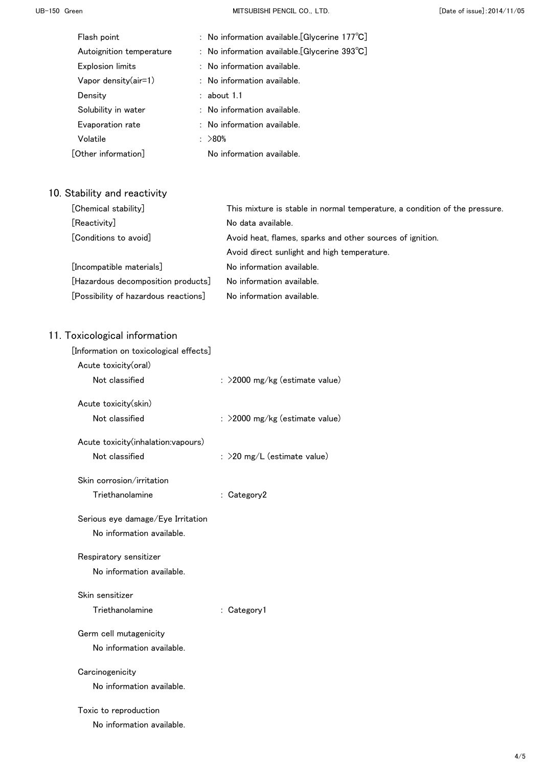UB-150 Green **MITSUBISHI PENCIL CO., LTD.** CO., LTD. CO., LTD. CO., LTD. CO., LTD. CO., LTD. CO., LTD. CO., LTD. CO., LTD. CO., LTD. CO., LTD. CO., LTD. CO., LTD. CO., LTD. CO., LTD. CO., LTD. CO., LTD. CO., LTD. CO., LTD.

| Flash point              | : No information available. [Glycerine 177°C]           |  |
|--------------------------|---------------------------------------------------------|--|
| Autoignition temperature | : No information available. [Glycerine $393^{\circ}C$ ] |  |
| <b>Explosion limits</b>  | $:$ No information available.                           |  |
| Vapor density $(air=1)$  | : No information available.                             |  |
| Density                  | $:$ about 1.1                                           |  |
| Solubility in water      | $:$ No information available.                           |  |
| Evaporation rate         | $:$ No information available.                           |  |
| Volatile                 | : $>80\%$                                               |  |
| [Other information]      | No information available.                               |  |
|                          |                                                         |  |

# 10. Stability and reactivity

| [Chemical stability]                 | This mixture is stable in normal temperature, a condition of the pressure. |
|--------------------------------------|----------------------------------------------------------------------------|
| [Reactivity]                         | No data available.                                                         |
| [Conditions to avoid]                | Avoid heat, flames, sparks and other sources of ignition.                  |
|                                      | Avoid direct sunlight and high temperature.                                |
| [Incompatible materials]             | No information available.                                                  |
| [Hazardous decomposition products]   | No information available.                                                  |
| [Possibility of hazardous reactions] | No information available.                                                  |

| $\frac{1}{2}$                          |                                  |
|----------------------------------------|----------------------------------|
| [Information on toxicological effects] |                                  |
| Acute toxicity(oral)                   |                                  |
| Not classified                         | $:$ >2000 mg/kg (estimate value) |
| Acute toxicity(skin)                   |                                  |
|                                        |                                  |
| Not classified                         | : >2000 mg/kg (estimate value)   |
| Acute toxicity(inhalation:vapours)     |                                  |
| Not classified                         | : >20 mg/L (estimate value)      |
|                                        |                                  |
| Skin corrosion/irritation              |                                  |
| Triethanolamine                        | : Category2                      |
| Serious eye damage/Eye Irritation      |                                  |
| No information available.              |                                  |
|                                        |                                  |
| Respiratory sensitizer                 |                                  |
| No information available.              |                                  |
| Skin sensitizer                        |                                  |
|                                        |                                  |
| Triethanolamine                        | : Category1                      |
| Germ cell mutagenicity                 |                                  |
| No information available.              |                                  |
|                                        |                                  |
| Carcinogenicity                        |                                  |
| No information available.              |                                  |
| Toxic to reproduction                  |                                  |
| No information available.              |                                  |
|                                        |                                  |